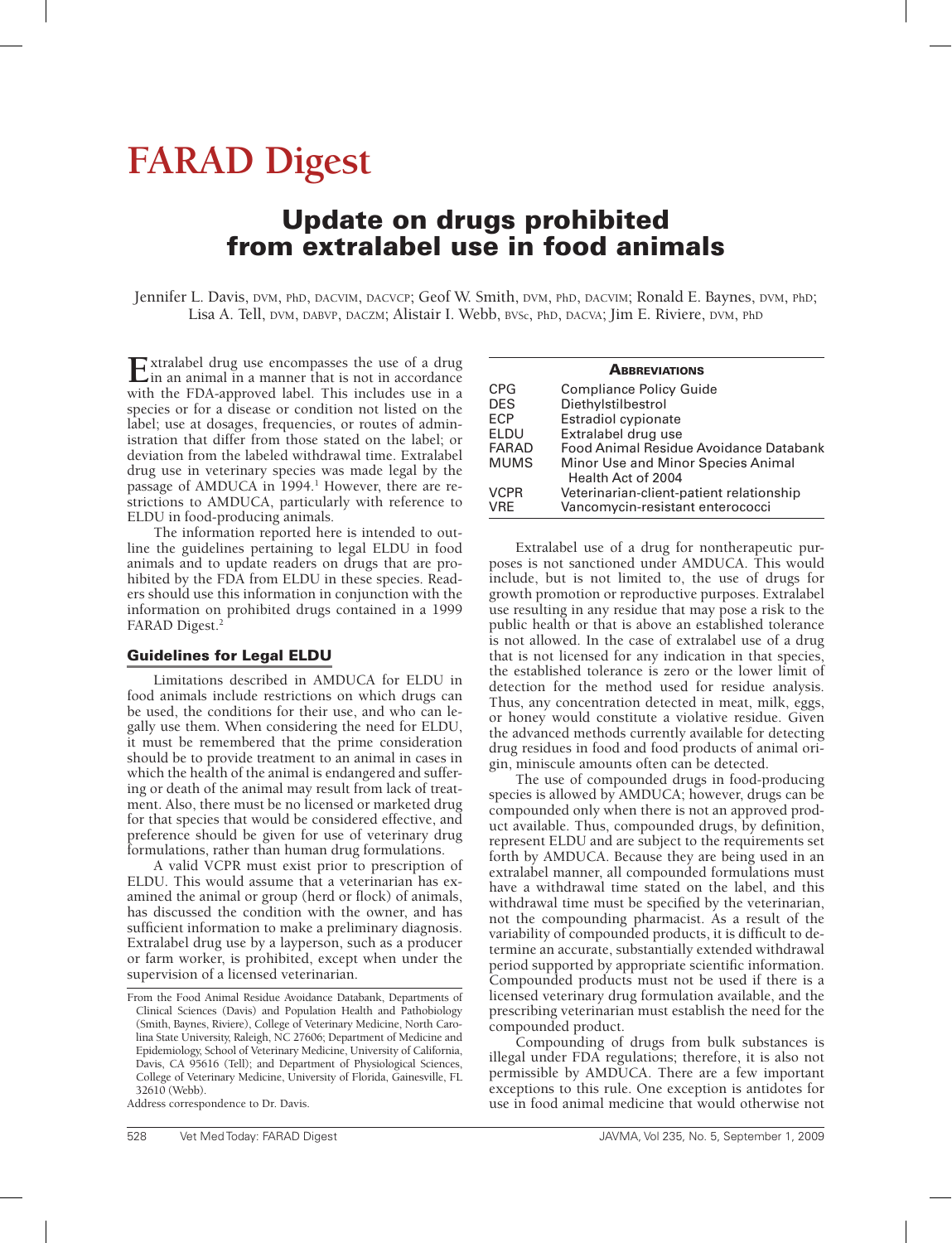# **FARAD Digest**

# Update on drugs prohibited from extralabel use in food animals

Jennifer L. Davis, DVM, PhD, DACVIM, DACVCP; Geof W. Smith, DVM, PhD, DACVIM; Ronald E. Baynes, DVM, PhD; Lisa A. Tell, DVM, DABVP, DACZM; Alistair I. Webb, BVSc, PhD, DACVA; Jim E. Riviere, DVM, PhD

Extralabel drug use encompasses the use of a drug<br>in an animal in a manner that is not in accordance with the FDA-approved label. This includes use in a species or for a disease or condition not listed on the label; use at dosages, frequencies, or routes of administration that differ from those stated on the label; or deviation from the labeled withdrawal time. Extralabel drug use in veterinary species was made legal by the passage of AMDUCA in 1994.<sup>1</sup> However, there are restrictions to AMDUCA, particularly with reference to ELDU in food-producing animals.

The information reported here is intended to outline the guidelines pertaining to legal ELDU in food animals and to update readers on drugs that are prohibited by the FDA from ELDU in these species. Readers should use this information in conjunction with the information on prohibited drugs contained in a 1999 FARAD Digest.<sup>2</sup>

#### Guidelines for Legal ELDU

Limitations described in AMDUCA for ELDU in food animals include restrictions on which drugs can be used, the conditions for their use, and who can legally use them. When considering the need for ELDU, it must be remembered that the prime consideration should be to provide treatment to an animal in cases in which the health of the animal is endangered and suffering or death of the animal may result from lack of treatment. Also, there must be no licensed or marketed drug for that species that would be considered effective, and preference should be given for use of veterinary drug formulations, rather than human drug formulations.

A valid VCPR must exist prior to prescription of ELDU. This would assume that a veterinarian has examined the animal or group (herd or flock) of animals, has discussed the condition with the owner, and has sufficient information to make a preliminary diagnosis. Extralabel drug use by a layperson, such as a producer or farm worker, is prohibited, except when under the supervision of a licensed veterinarian.

Address correspondence to Dr. Davis.

| <b>ABBREVIATIONS</b> |                                                          |  |
|----------------------|----------------------------------------------------------|--|
| <b>CPG</b>           | <b>Compliance Policy Guide</b>                           |  |
| <b>DES</b>           | Diethylstilbestrol                                       |  |
| ECP                  | <b>Estradiol cypionate</b>                               |  |
| <b>ELDU</b>          | Extralabel drug use                                      |  |
| <b>FARAD</b>         | Food Animal Residue Avoidance Databank                   |  |
| <b>MUMS</b>          | Minor Use and Minor Species Animal<br>Health Act of 2004 |  |
| <b>VCPR</b>          | Veterinarian-client-patient relationship                 |  |
| VRE                  | Vancomycin-resistant enterococci                         |  |

Extralabel use of a drug for nontherapeutic purposes is not sanctioned under AMDUCA. This would include, but is not limited to, the use of drugs for growth promotion or reproductive purposes. Extralabel use resulting in any residue that may pose a risk to the public health or that is above an established tolerance is not allowed. In the case of extralabel use of a drug that is not licensed for any indication in that species, the established tolerance is zero or the lower limit of detection for the method used for residue analysis. Thus, any concentration detected in meat, milk, eggs, or honey would constitute a violative residue. Given the advanced methods currently available for detecting drug residues in food and food products of animal origin, miniscule amounts often can be detected.

The use of compounded drugs in food-producing species is allowed by AMDUCA; however, drugs can be compounded only when there is not an approved product available. Thus, compounded drugs, by definition, represent ELDU and are subject to the requirements set forth by AMDUCA. Because they are being used in an extralabel manner, all compounded formulations must have a withdrawal time stated on the label, and this withdrawal time must be specified by the veterinarian, not the compounding pharmacist. As a result of the variability of compounded products, it is difficult to determine an accurate, substantially extended withdrawal period supported by appropriate scientific information. Compounded products must not be used if there is a licensed veterinary drug formulation available, and the prescribing veterinarian must establish the need for the compounded product.

Compounding of drugs from bulk substances is illegal under FDA regulations; therefore, it is also not permissible by AMDUCA. There are a few important exceptions to this rule. One exception is antidotes for use in food animal medicine that would otherwise not

From the Food Animal Residue Avoidance Databank, Departments of Clinical Sciences (Davis) and Population Health and Pathobiology (Smith, Baynes, Riviere), College of Veterinary Medicine, North Carolina State University, Raleigh, NC 27606; Department of Medicine and Epidemiology, School of Veterinary Medicine, University of California, Davis, CA 95616 (Tell); and Department of Physiological Sciences, College of Veterinary Medicine, University of Florida, Gainesville, FL 32610 (Webb).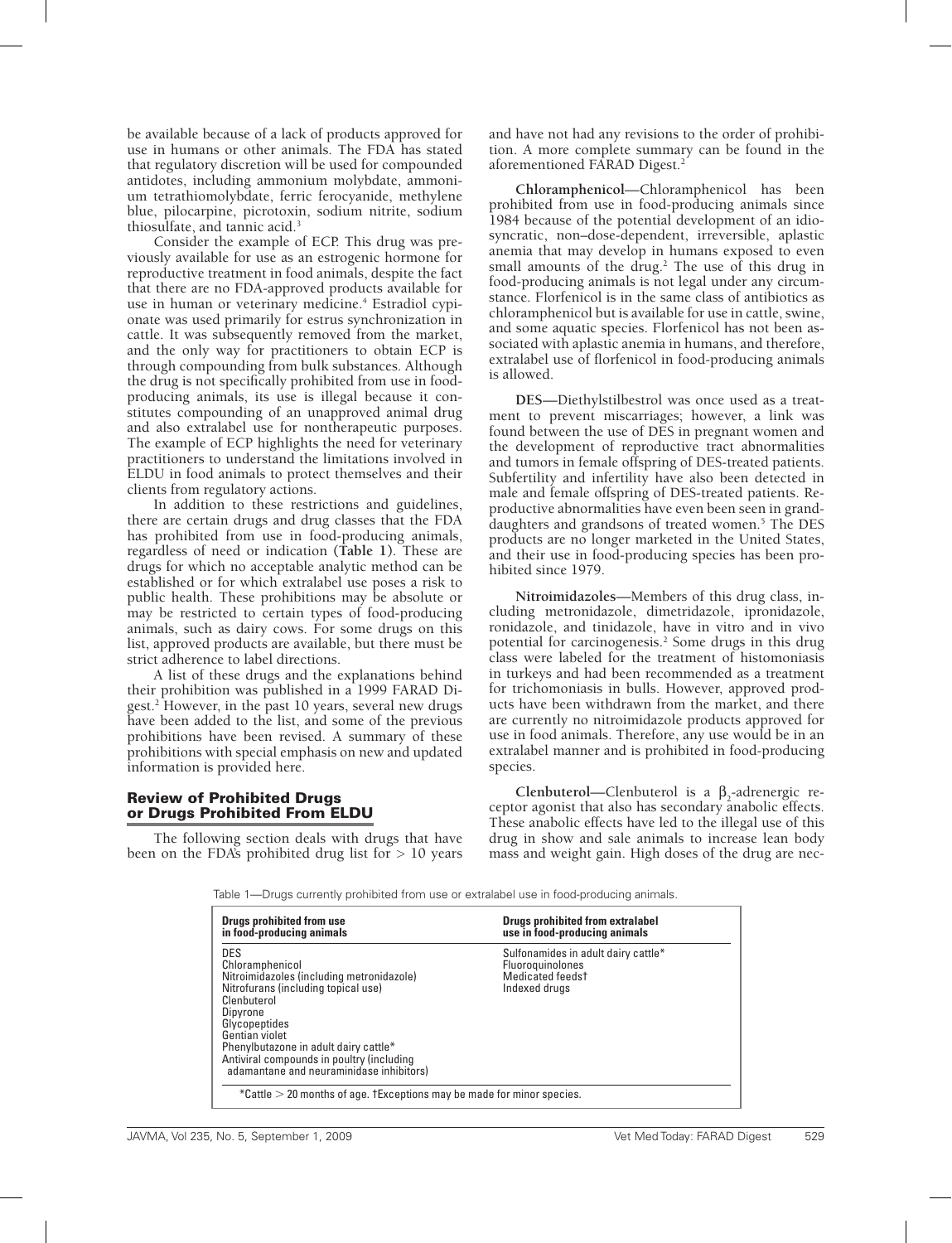be available because of a lack of products approved for use in humans or other animals. The FDA has stated that regulatory discretion will be used for compounded antidotes, including ammonium molybdate, ammonium tetrathiomolybdate, ferric ferocyanide, methylene blue, pilocarpine, picrotoxin, sodium nitrite, sodium thiosulfate, and tannic acid.<sup>3</sup>

Consider the example of ECP. This drug was previously available for use as an estrogenic hormone for reproductive treatment in food animals, despite the fact that there are no FDA-approved products available for use in human or veterinary medicine.<sup>4</sup> Estradiol cypionate was used primarily for estrus synchronization in cattle. It was subsequently removed from the market, and the only way for practitioners to obtain ECP is through compounding from bulk substances. Although the drug is not specifically prohibited from use in foodproducing animals, its use is illegal because it constitutes compounding of an unapproved animal drug and also extralabel use for nontherapeutic purposes. The example of ECP highlights the need for veterinary practitioners to understand the limitations involved in ELDU in food animals to protect themselves and their clients from regulatory actions.

In addition to these restrictions and guidelines, there are certain drugs and drug classes that the FDA has prohibited from use in food-producing animals, regardless of need or indication **(Table 1)**. These are drugs for which no acceptable analytic method can be established or for which extralabel use poses a risk to public health. These prohibitions may be absolute or may be restricted to certain types of food-producing animals, such as dairy cows. For some drugs on this list, approved products are available, but there must be strict adherence to label directions.

A list of these drugs and the explanations behind their prohibition was published in a 1999 FARAD Digest.2 However, in the past 10 years, several new drugs have been added to the list, and some of the previous prohibitions have been revised. A summary of these prohibitions with special emphasis on new and updated information is provided here.

### Review of Prohibited Drugs or Drugs Prohibited From ELDU

The following section deals with drugs that have been on the FDA's prohibited drug list for  $> 10$  years and have not had any revisions to the order of prohibition. A more complete summary can be found in the aforementioned FARAD Digest.2

**Chloramphenicol**—Chloramphenicol has been prohibited from use in food-producing animals since 1984 because of the potential development of an idiosyncratic, non–dose-dependent, irreversible, aplastic anemia that may develop in humans exposed to even small amounts of the drug.<sup>2</sup> The use of this drug in food-producing animals is not legal under any circumstance. Florfenicol is in the same class of antibiotics as chloramphenicol but is available for use in cattle, swine, and some aquatic species. Florfenicol has not been associated with aplastic anemia in humans, and therefore, extralabel use of florfenicol in food-producing animals is allowed.

**DES**—Diethylstilbestrol was once used as a treatment to prevent miscarriages; however, a link was found between the use of DES in pregnant women and the development of reproductive tract abnormalities and tumors in female offspring of DES-treated patients. Subfertility and infertility have also been detected in male and female offspring of DES-treated patients. Reproductive abnormalities have even been seen in granddaughters and grandsons of treated women.<sup>5</sup> The DES products are no longer marketed in the United States, and their use in food-producing species has been prohibited since 1979.

**Nitroimidazoles**—Members of this drug class, including metronidazole, dimetridazole, ipronidazole, ronidazole, and tinidazole, have in vitro and in vivo potential for carcinogenesis.<sup>2</sup> Some drugs in this drug class were labeled for the treatment of histomoniasis in turkeys and had been recommended as a treatment for trichomoniasis in bulls. However, approved products have been withdrawn from the market, and there are currently no nitroimidazole products approved for use in food animals. Therefore, any use would be in an extralabel manner and is prohibited in food-producing species.

**Clenbuterol**—Clenbuterol is a  $\beta_2$ -adrenergic receptor agonist that also has secondary anabolic effects. These anabolic effects have led to the illegal use of this drug in show and sale animals to increase lean body mass and weight gain. High doses of the drug are nec-

Table 1—Drugs currently prohibited from use or extralabel use in food-producing animals.

| Drugs prohibited from use<br>in food-producing animals                                                                                                                                                                                                                                                            | Drugs prohibited from extralabel<br>use in food-producing animals                                   |  |
|-------------------------------------------------------------------------------------------------------------------------------------------------------------------------------------------------------------------------------------------------------------------------------------------------------------------|-----------------------------------------------------------------------------------------------------|--|
| <b>DES</b><br>Chloramphenicol<br>Nitroimidazoles (including metronidazole)<br>Nitrofurans (including topical use)<br>Clenbuterol<br>Dipyrone<br>Glycopeptides<br>Gentian violet<br>Phenylbutazone in adult dairy cattle*<br>Antiviral compounds in poultry (including<br>adamantane and neuraminidase inhibitors) | Sulfonamides in adult dairy cattle*<br><b>Fluoroquinolones</b><br>Medicated feedst<br>Indexed drugs |  |
| *Cattle $>$ 20 months of age. †Exceptions may be made for minor species.                                                                                                                                                                                                                                          |                                                                                                     |  |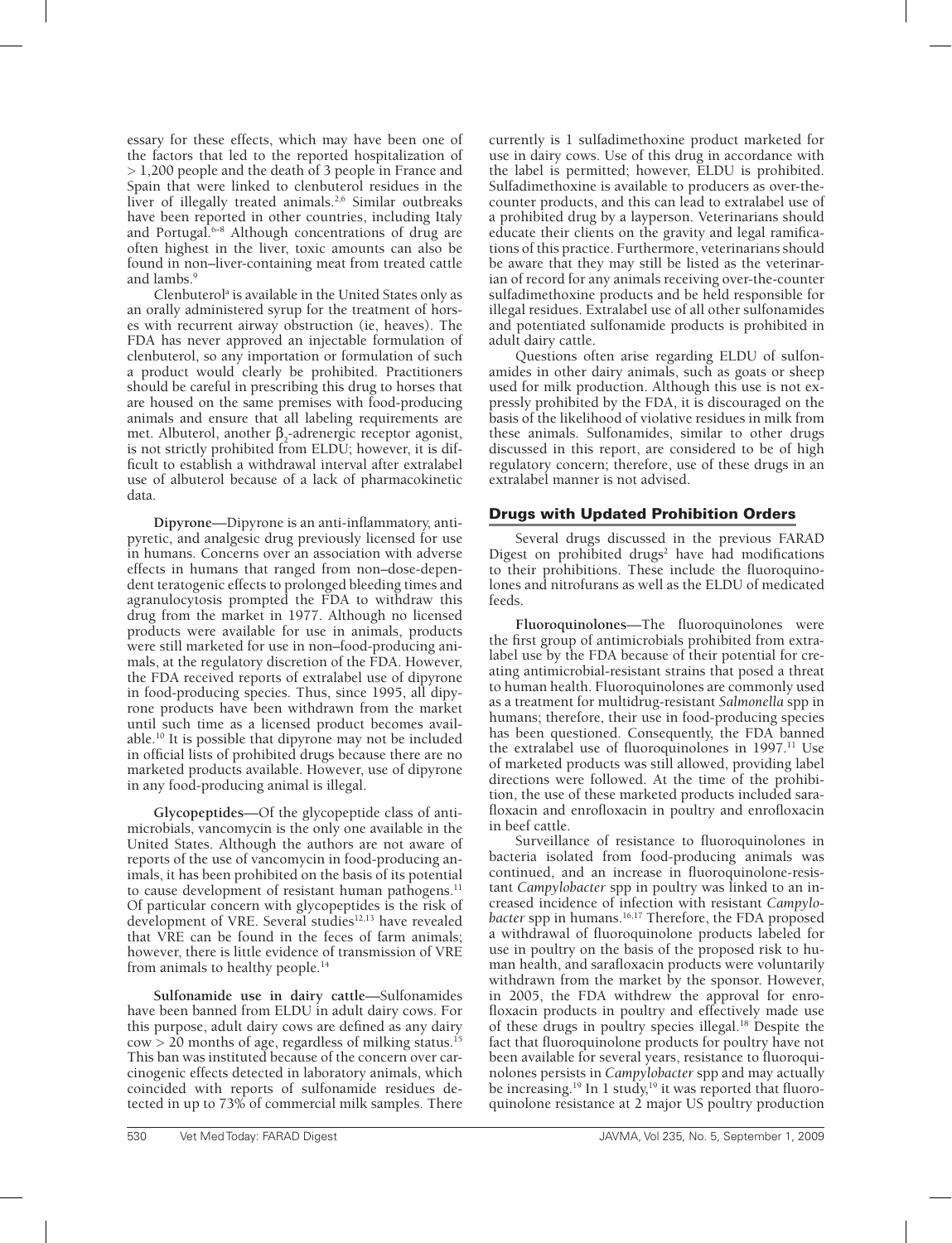essary for these effects, which may have been one of the factors that led to the reported hospitalization of > 1,200 people and the death of 3 people in France and Spain that were linked to clenbuterol residues in the liver of illegally treated animals.<sup>2,6</sup> Similar outbreaks have been reported in other countries, including Italy and Portugal. $6-8$  Although concentrations of drug are often highest in the liver, toxic amounts can also be found in non–liver-containing meat from treated cattle and lambs.<sup>9</sup>

Clenbuterol<sup>a</sup> is available in the United States only as an orally administered syrup for the treatment of horses with recurrent airway obstruction (ie, heaves). The FDA has never approved an injectable formulation of clenbuterol, so any importation or formulation of such a product would clearly be prohibited. Practitioners should be careful in prescribing this drug to horses that are housed on the same premises with food-producing animals and ensure that all labeling requirements are met. Albuterol, another β<sub>2</sub>-adrenergic receptor agonist, is not strictly prohibited from ELDU; however, it is difficult to establish a withdrawal interval after extralabel use of albuterol because of a lack of pharmacokinetic data.

**Dipyrone**—Dipyrone is an anti-inflammatory, antipyretic, and analgesic drug previously licensed for use in humans. Concerns over an association with adverse effects in humans that ranged from non–dose-dependent teratogenic effects to prolonged bleeding times and agranulocytosis prompted the FDA to withdraw this drug from the market in 1977. Although no licensed products were available for use in animals, products were still marketed for use in non–food-producing animals, at the regulatory discretion of the FDA. However, the FDA received reports of extralabel use of dipyrone in food-producing species. Thus, since 1995, all dipyrone products have been withdrawn from the market until such time as a licensed product becomes available.10 It is possible that dipyrone may not be included in official lists of prohibited drugs because there are no marketed products available. However, use of dipyrone in any food-producing animal is illegal.

**Glycopeptides**—Of the glycopeptide class of antimicrobials, vancomycin is the only one available in the United States. Although the authors are not aware of reports of the use of vancomycin in food-producing animals, it has been prohibited on the basis of its potential to cause development of resistant human pathogens.<sup>11</sup> Of particular concern with glycopeptides is the risk of development of VRE. Several studies<sup>12,13</sup> have revealed that VRE can be found in the feces of farm animals; however, there is little evidence of transmission of VRE from animals to healthy people.<sup>14</sup>

**Sulfonamide use in dairy cattle**—Sulfonamides have been banned from ELDU in adult dairy cows. For this purpose, adult dairy cows are defined as any dairy  $\text{cow} > 20$  months of age, regardless of milking status.<sup>15</sup> This ban was instituted because of the concern over carcinogenic effects detected in laboratory animals, which coincided with reports of sulfonamide residues detected in up to 73% of commercial milk samples. There currently is 1 sulfadimethoxine product marketed for use in dairy cows. Use of this drug in accordance with the label is permitted; however, ELDU is prohibited. Sulfadimethoxine is available to producers as over-thecounter products, and this can lead to extralabel use of a prohibited drug by a layperson. Veterinarians should educate their clients on the gravity and legal ramifications of this practice. Furthermore, veterinarians should be aware that they may still be listed as the veterinarian of record for any animals receiving over-the-counter sulfadimethoxine products and be held responsible for illegal residues. Extralabel use of all other sulfonamides and potentiated sulfonamide products is prohibited in adult dairy cattle.

Questions often arise regarding ELDU of sulfonamides in other dairy animals, such as goats or sheep used for milk production. Although this use is not expressly prohibited by the FDA, it is discouraged on the basis of the likelihood of violative residues in milk from these animals. Sulfonamides, similar to other drugs discussed in this report, are considered to be of high regulatory concern; therefore, use of these drugs in an extralabel manner is not advised.

## Drugs with Updated Prohibition Orders

Several drugs discussed in the previous FARAD Digest on prohibited drugs<sup>2</sup> have had modifications to their prohibitions. These include the fluoroquinolones and nitrofurans as well as the ELDU of medicated feeds.

**Fluoroquinolones**—The fluoroquinolones were the first group of antimicrobials prohibited from extralabel use by the FDA because of their potential for creating antimicrobial-resistant strains that posed a threat to human health. Fluoroquinolones are commonly used as a treatment for multidrug-resistant *Salmonella* spp in humans; therefore, their use in food-producing species has been questioned. Consequently, the FDA banned the extralabel use of fluoroquinolones in 1997.11 Use of marketed products was still allowed, providing label directions were followed. At the time of the prohibition, the use of these marketed products included sarafloxacin and enrofloxacin in poultry and enrofloxacin in beef cattle.

Surveillance of resistance to fluoroquinolones in bacteria isolated from food-producing animals was continued, and an increase in fluoroquinolone-resistant *Campylobacter* spp in poultry was linked to an increased incidence of infection with resistant *Campylo*bacter spp in humans.<sup>16,17</sup> Therefore, the FDA proposed a withdrawal of fluoroquinolone products labeled for use in poultry on the basis of the proposed risk to human health, and sarafloxacin products were voluntarily withdrawn from the market by the sponsor. However, in 2005, the FDA withdrew the approval for enrofloxacin products in poultry and effectively made use of these drugs in poultry species illegal.18 Despite the fact that fluoroquinolone products for poultry have not been available for several years, resistance to fluoroquinolones persists in *Campylobacter* spp and may actually be increasing.<sup>19</sup> In 1 study,<sup>19</sup> it was reported that fluoroquinolone resistance at 2 major US poultry production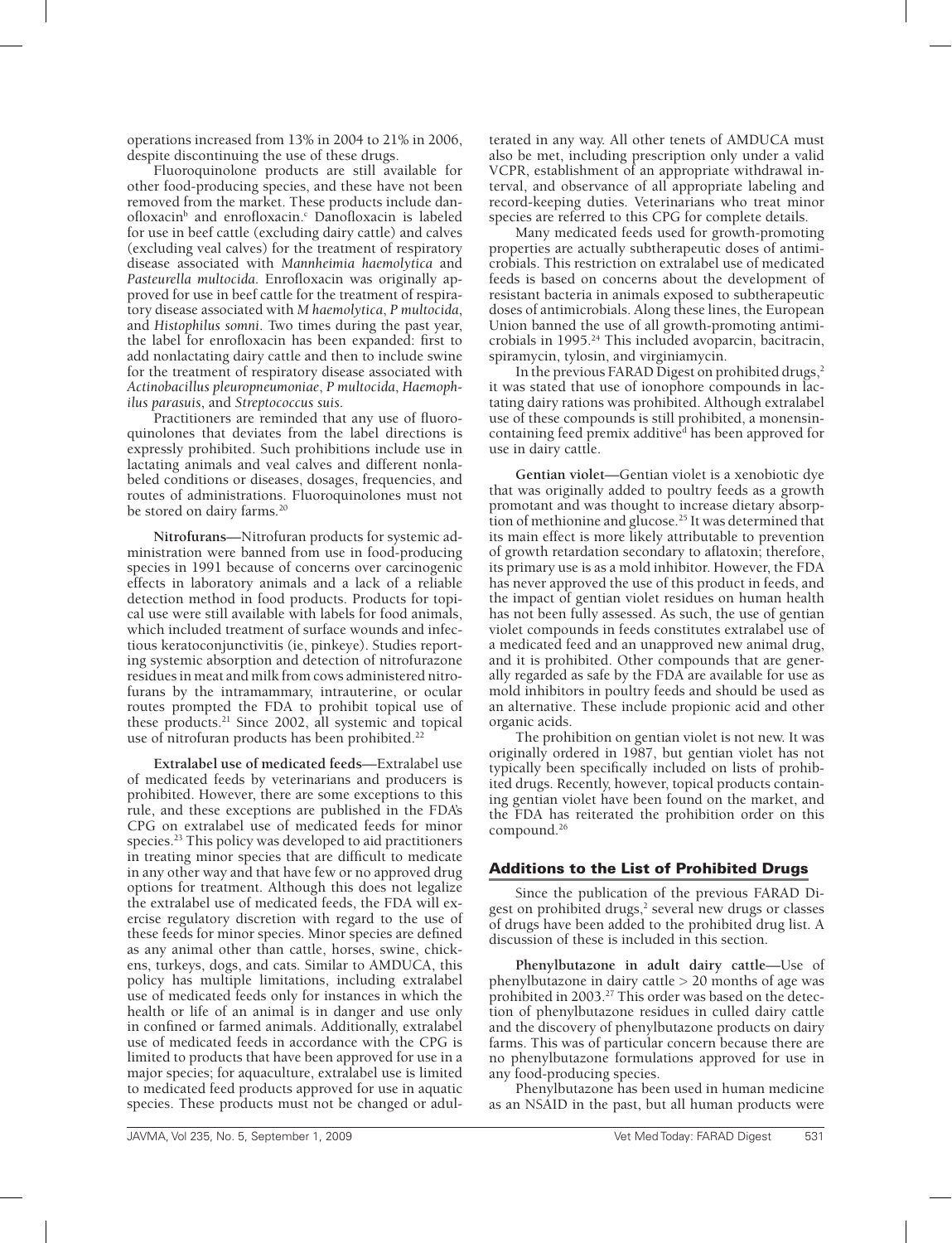operations increased from 13% in 2004 to 21% in 2006, despite discontinuing the use of these drugs.

Fluoroquinolone products are still available for other food-producing species, and these have not been removed from the market. These products include danofloxacin<sup>b</sup> and enrofloxacin.<sup>c</sup> Danofloxacin is labeled for use in beef cattle (excluding dairy cattle) and calves (excluding veal calves) for the treatment of respiratory disease associated with *Mannheimia haemolytica* and *Pasteurella multocida*. Enrofloxacin was originally approved for use in beef cattle for the treatment of respiratory disease associated with *M haemolytica*, *P multocida*, and *Histophilus somni*. Two times during the past year, the label for enrofloxacin has been expanded: first to add nonlactating dairy cattle and then to include swine for the treatment of respiratory disease associated with *Actinobacillus pleuropneumoniae*, *P multocida*, *Haemophilus parasuis*, and *Streptococcus suis*.

Practitioners are reminded that any use of fluoroquinolones that deviates from the label directions is expressly prohibited. Such prohibitions include use in lactating animals and veal calves and different nonlabeled conditions or diseases, dosages, frequencies, and routes of administrations. Fluoroquinolones must not be stored on dairy farms.<sup>20</sup>

**Nitrofurans**—Nitrofuran products for systemic administration were banned from use in food-producing species in 1991 because of concerns over carcinogenic effects in laboratory animals and a lack of a reliable detection method in food products. Products for topical use were still available with labels for food animals, which included treatment of surface wounds and infectious keratoconjunctivitis (ie, pinkeye). Studies reporting systemic absorption and detection of nitrofurazone residues in meat and milk from cows administered nitrofurans by the intramammary, intrauterine, or ocular routes prompted the FDA to prohibit topical use of these products.21 Since 2002, all systemic and topical use of nitrofuran products has been prohibited.<sup>22</sup>

**Extralabel use of medicated feeds**—Extralabel use of medicated feeds by veterinarians and producers is prohibited. However, there are some exceptions to this rule, and these exceptions are published in the FDA's CPG on extralabel use of medicated feeds for minor species.<sup>23</sup> This policy was developed to aid practitioners in treating minor species that are difficult to medicate in any other way and that have few or no approved drug options for treatment. Although this does not legalize the extralabel use of medicated feeds, the FDA will exercise regulatory discretion with regard to the use of these feeds for minor species. Minor species are defined as any animal other than cattle, horses, swine, chickens, turkeys, dogs, and cats. Similar to AMDUCA, this policy has multiple limitations, including extralabel use of medicated feeds only for instances in which the health or life of an animal is in danger and use only in confined or farmed animals. Additionally, extralabel use of medicated feeds in accordance with the CPG is limited to products that have been approved for use in a major species; for aquaculture, extralabel use is limited to medicated feed products approved for use in aquatic species. These products must not be changed or adulterated in any way. All other tenets of AMDUCA must also be met, including prescription only under a valid VCPR, establishment of an appropriate withdrawal interval, and observance of all appropriate labeling and record-keeping duties. Veterinarians who treat minor species are referred to this CPG for complete details.

Many medicated feeds used for growth-promoting properties are actually subtherapeutic doses of antimicrobials. This restriction on extralabel use of medicated feeds is based on concerns about the development of resistant bacteria in animals exposed to subtherapeutic doses of antimicrobials. Along these lines, the European Union banned the use of all growth-promoting antimicrobials in 1995.24 This included avoparcin, bacitracin, spiramycin, tylosin, and virginiamycin.

In the previous FARAD Digest on prohibited drugs,<sup>2</sup> it was stated that use of ionophore compounds in lactating dairy rations was prohibited. Although extralabel use of these compounds is still prohibited, a monensincontaining feed premix additived has been approved for use in dairy cattle.

**Gentian violet**—Gentian violet is a xenobiotic dye that was originally added to poultry feeds as a growth promotant and was thought to increase dietary absorption of methionine and glucose.<sup>25</sup> It was determined that its main effect is more likely attributable to prevention of growth retardation secondary to aflatoxin; therefore, its primary use is as a mold inhibitor. However, the FDA has never approved the use of this product in feeds, and the impact of gentian violet residues on human health has not been fully assessed. As such, the use of gentian violet compounds in feeds constitutes extralabel use of a medicated feed and an unapproved new animal drug, and it is prohibited. Other compounds that are generally regarded as safe by the FDA are available for use as mold inhibitors in poultry feeds and should be used as an alternative. These include propionic acid and other organic acids.

The prohibition on gentian violet is not new. It was originally ordered in 1987, but gentian violet has not typically been specifically included on lists of prohibited drugs. Recently, however, topical products containing gentian violet have been found on the market, and the FDA has reiterated the prohibition order on this compound.26

# Additions to the List of Prohibited Drugs

Since the publication of the previous FARAD Digest on prohibited drugs,<sup>2</sup> several new drugs or classes of drugs have been added to the prohibited drug list. A discussion of these is included in this section.

**Phenylbutazone in adult dairy cattle**—Use of phenylbutazone in dairy cattle > 20 months of age was prohibited in 2003.<sup>27</sup> This order was based on the detection of phenylbutazone residues in culled dairy cattle and the discovery of phenylbutazone products on dairy farms. This was of particular concern because there are no phenylbutazone formulations approved for use in any food-producing species.

Phenylbutazone has been used in human medicine as an NSAID in the past, but all human products were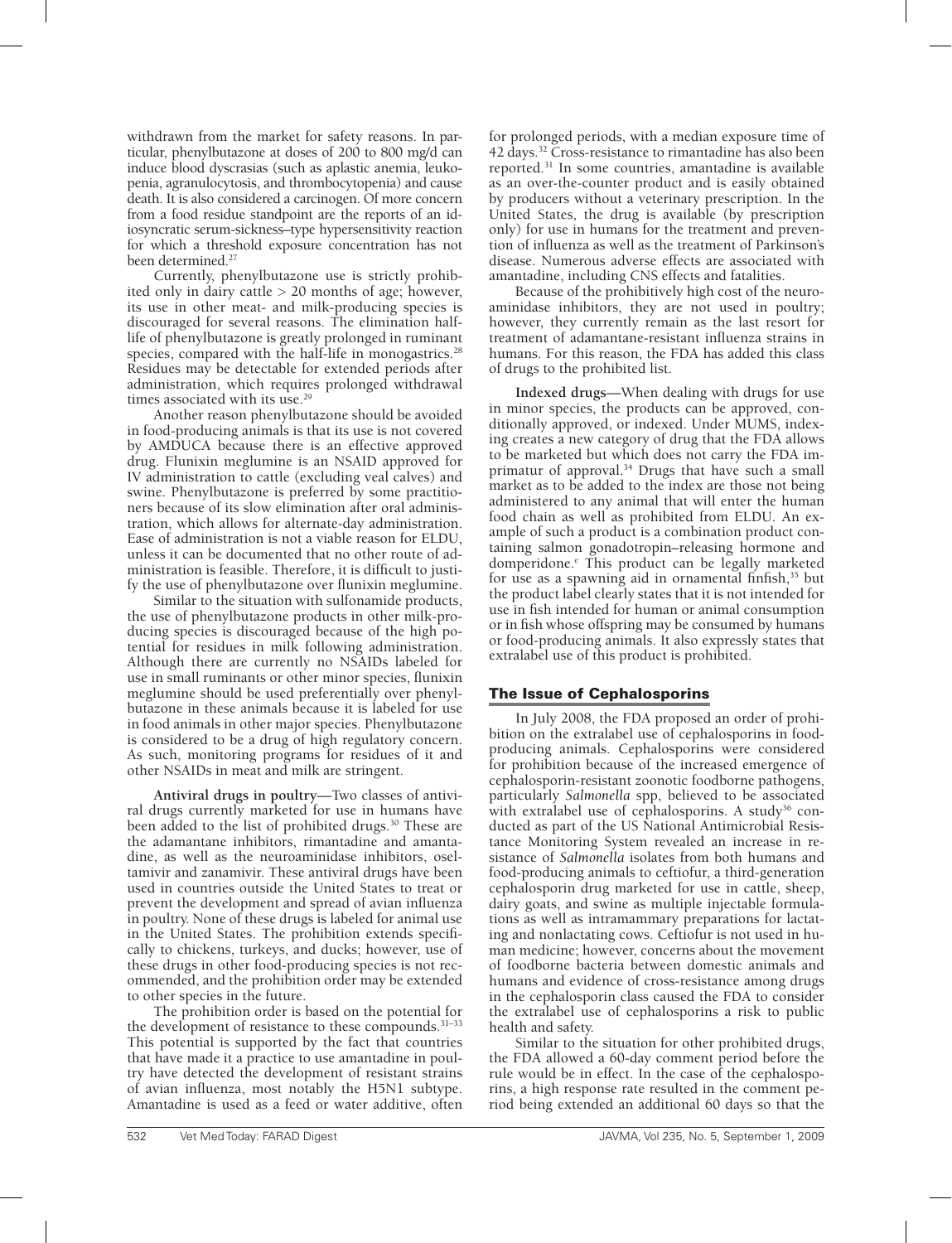withdrawn from the market for safety reasons. In particular, phenylbutazone at doses of  $200$  to  $800$  mg/d can induce blood dyscrasias (such as aplastic anemia, leukopenia, agranulocytosis, and thrombocytopenia) and cause death. It is also considered a carcinogen. Of more concern from a food residue standpoint are the reports of an idiosyncratic serum-sickness–type hypersensitivity reaction for which a threshold exposure concentration has not been determined.<sup>27</sup>

Currently, phenylbutazone use is strictly prohibited only in dairy cattle > 20 months of age; however, its use in other meat- and milk-producing species is discouraged for several reasons. The elimination halflife of phenylbutazone is greatly prolonged in ruminant species, compared with the half-life in monogastrics.<sup>28</sup> Residues may be detectable for extended periods after administration, which requires prolonged withdrawal times associated with its use.<sup>29</sup>

Another reason phenylbutazone should be avoided in food-producing animals is that its use is not covered by AMDUCA because there is an effective approved drug. Flunixin meglumine is an NSAID approved for IV administration to cattle (excluding veal calves) and swine. Phenylbutazone is preferred by some practitioners because of its slow elimination after oral administration, which allows for alternate-day administration. Ease of administration is not a viable reason for ELDU, unless it can be documented that no other route of administration is feasible. Therefore, it is difficult to justify the use of phenylbutazone over flunixin meglumine.

Similar to the situation with sulfonamide products, the use of phenylbutazone products in other milk-producing species is discouraged because of the high potential for residues in milk following administration. Although there are currently no NSAIDs labeled for use in small ruminants or other minor species, flunixin meglumine should be used preferentially over phenylbutazone in these animals because it is labeled for use in food animals in other major species. Phenylbutazone is considered to be a drug of high regulatory concern. As such, monitoring programs for residues of it and other NSAIDs in meat and milk are stringent.

**Antiviral drugs in poultry**—Two classes of antiviral drugs currently marketed for use in humans have been added to the list of prohibited drugs.<sup>30</sup> These are the adamantane inhibitors, rimantadine and amantadine, as well as the neuroaminidase inhibitors, oseltamivir and zanamivir. These antiviral drugs have been used in countries outside the United States to treat or prevent the development and spread of avian influenza in poultry. None of these drugs is labeled for animal use in the United States. The prohibition extends specifically to chickens, turkeys, and ducks; however, use of these drugs in other food-producing species is not recommended, and the prohibition order may be extended to other species in the future.

The prohibition order is based on the potential for the development of resistance to these compounds.31–33 This potential is supported by the fact that countries that have made it a practice to use amantadine in poultry have detected the development of resistant strains of avian influenza, most notably the H5N1 subtype. Amantadine is used as a feed or water additive, often for prolonged periods, with a median exposure time of 42 days.32 Cross-resistance to rimantadine has also been reported.31 In some countries, amantadine is available as an over-the-counter product and is easily obtained by producers without a veterinary prescription. In the United States, the drug is available (by prescription only) for use in humans for the treatment and prevention of influenza as well as the treatment of Parkinson's disease. Numerous adverse effects are associated with amantadine, including CNS effects and fatalities.

Because of the prohibitively high cost of the neuroaminidase inhibitors, they are not used in poultry; however, they currently remain as the last resort for treatment of adamantane-resistant influenza strains in humans. For this reason, the FDA has added this class of drugs to the prohibited list.

**Indexed drugs**—When dealing with drugs for use in minor species, the products can be approved, conditionally approved, or indexed. Under MUMS, indexing creates a new category of drug that the FDA allows to be marketed but which does not carry the FDA imprimatur of approval.34 Drugs that have such a small market as to be added to the index are those not being administered to any animal that will enter the human food chain as well as prohibited from ELDU. An example of such a product is a combination product containing salmon gonadotropin–releasing hormone and domperidone.<sup>e</sup> This product can be legally marketed for use as a spawning aid in ornamental finfish, $35$  but the product label clearly states that it is not intended for use in fish intended for human or animal consumption or in fish whose offspring may be consumed by humans or food-producing animals. It also expressly states that extralabel use of this product is prohibited.

# The Issue of Cephalosporins

In July 2008, the FDA proposed an order of prohibition on the extralabel use of cephalosporins in foodproducing animals. Cephalosporins were considered for prohibition because of the increased emergence of cephalosporin-resistant zoonotic foodborne pathogens, particularly *Salmonella* spp, believed to be associated with extralabel use of cephalosporins. A study<sup>36</sup> conducted as part of the US National Antimicrobial Resistance Monitoring System revealed an increase in resistance of *Salmonella* isolates from both humans and food-producing animals to ceftiofur, a third-generation cephalosporin drug marketed for use in cattle, sheep, dairy goats, and swine as multiple injectable formulations as well as intramammary preparations for lactating and nonlactating cows. Ceftiofur is not used in human medicine; however, concerns about the movement of foodborne bacteria between domestic animals and humans and evidence of cross-resistance among drugs in the cephalosporin class caused the FDA to consider the extralabel use of cephalosporins a risk to public health and safety.

Similar to the situation for other prohibited drugs, the FDA allowed a 60-day comment period before the rule would be in effect. In the case of the cephalosporins, a high response rate resulted in the comment period being extended an additional 60 days so that the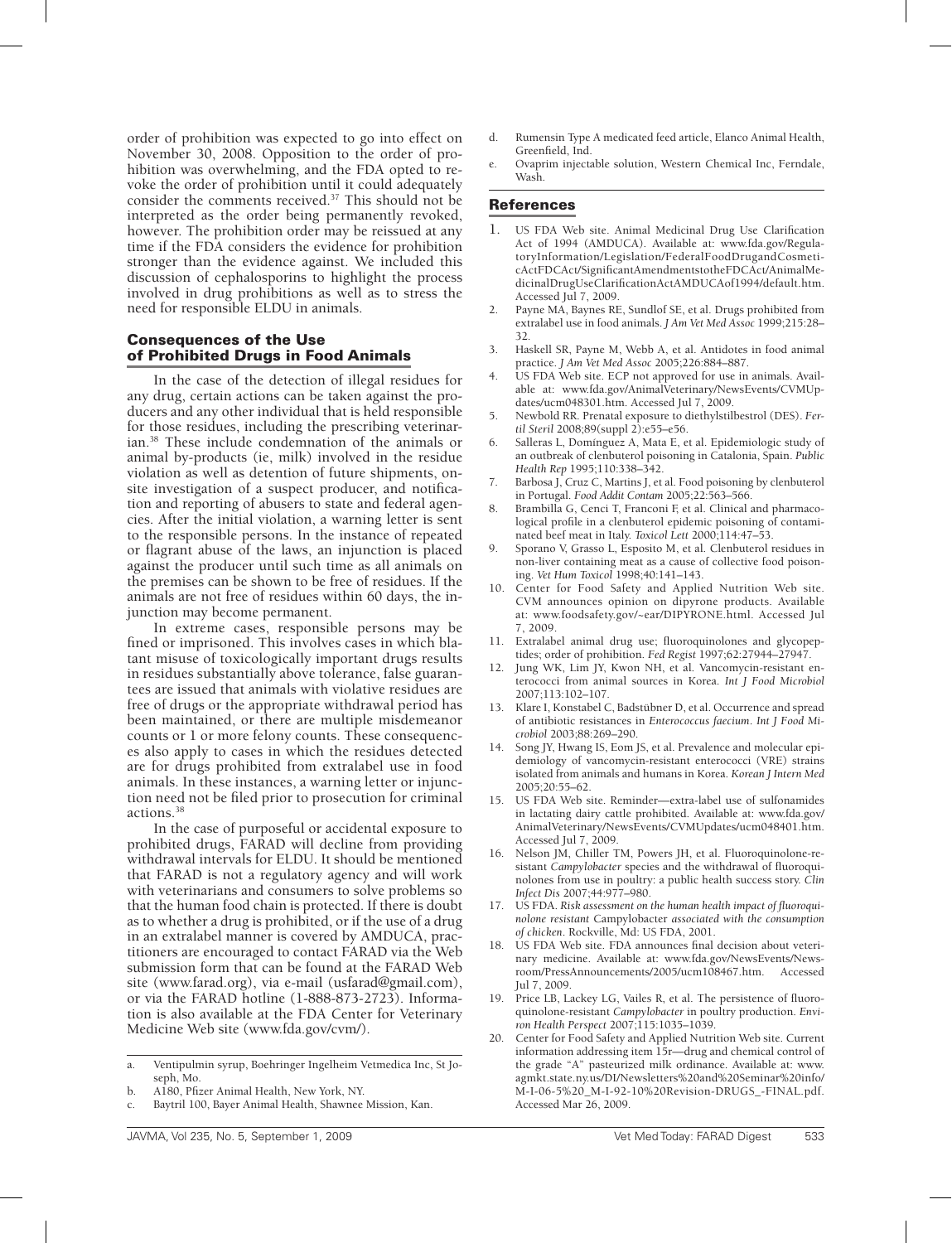order of prohibition was expected to go into effect on November 30, 2008. Opposition to the order of prohibition was overwhelming, and the FDA opted to revoke the order of prohibition until it could adequately consider the comments received.37 This should not be interpreted as the order being permanently revoked, however. The prohibition order may be reissued at any time if the FDA considers the evidence for prohibition stronger than the evidence against. We included this discussion of cephalosporins to highlight the process involved in drug prohibitions as well as to stress the need for responsible ELDU in animals.

#### Consequences of the Use of Prohibited Drugs in Food Animals

In the case of the detection of illegal residues for any drug, certain actions can be taken against the producers and any other individual that is held responsible for those residues, including the prescribing veterinarian.38 These include condemnation of the animals or animal by-products (ie, milk) involved in the residue violation as well as detention of future shipments, onsite investigation of a suspect producer, and notification and reporting of abusers to state and federal agencies. After the initial violation, a warning letter is sent to the responsible persons. In the instance of repeated or flagrant abuse of the laws, an injunction is placed against the producer until such time as all animals on the premises can be shown to be free of residues. If the animals are not free of residues within 60 days, the injunction may become permanent.

In extreme cases, responsible persons may be fined or imprisoned. This involves cases in which blatant misuse of toxicologically important drugs results in residues substantially above tolerance, false guarantees are issued that animals with violative residues are free of drugs or the appropriate withdrawal period has been maintained, or there are multiple misdemeanor counts or 1 or more felony counts. These consequences also apply to cases in which the residues detected are for drugs prohibited from extralabel use in food animals. In these instances, a warning letter or injunction need not be filed prior to prosecution for criminal actions.38

In the case of purposeful or accidental exposure to prohibited drugs, FARAD will decline from providing withdrawal intervals for ELDU. It should be mentioned that FARAD is not a regulatory agency and will work with veterinarians and consumers to solve problems so that the human food chain is protected. If there is doubt as to whether a drug is prohibited, or if the use of a drug in an extralabel manner is covered by AMDUCA, practitioners are encouraged to contact FARAD via the Web submission form that can be found at the FARAD Web site (www.farad.org), via e-mail (usfarad@gmail.com), or via the FARAD hotline (1-888-873-2723). Information is also available at the FDA Center for Veterinary Medicine Web site (www.fda.gov/cvm/).

- 
- 
- d. Rumensin Type A medicated feed article, Elanco Animal Health, Greenfield, Ind.
- e. Ovaprim injectable solution, Western Chemical Inc, Ferndale, Wash.

#### References

- 1. US FDA Web site. Animal Medicinal Drug Use Clarification Act of 1994 (AMDUCA). Available at: www.fda.gov/RegulatoryInformation/Legislation/FederalFoodDrugandCosmeticActFDCAct/SignificantAmendmentstotheFDCAct/AnimalMedicinalDrugUseClarificationActAMDUCAof1994/default.htm. Accessed Jul 7, 2009.
- 2. Payne MA, Baynes RE, Sundlof SE, et al. Drugs prohibited from extralabel use in food animals. *J Am Vet Med Assoc* 1999;215:28– 32.
- 3. Haskell SR, Payne M, Webb A, et al. Antidotes in food animal practice. *J Am Vet Med Assoc* 2005;226:884–887.
- 4. US FDA Web site. ECP not approved for use in animals. Available at: www.fda.gov/AnimalVeterinary/NewsEvents/CVMUpdates/ucm048301.htm. Accessed Jul 7, 2009.
- 5. Newbold RR. Prenatal exposure to diethylstilbestrol (DES). *Fertil Steril* 2008;89(suppl 2):e55–e56.
- 6. Salleras L, Domínguez A, Mata E, et al. Epidemiologic study of an outbreak of clenbuterol poisoning in Catalonia, Spain. *Public Health Rep* 1995;110:338–342.
- Barbosa J, Cruz C, Martins J, et al. Food poisoning by clenbuterol in Portugal. *Food Addit Contam* 2005;22:563–566.
- Brambilla G, Cenci T, Franconi F, et al. Clinical and pharmacological profile in a clenbuterol epidemic poisoning of contaminated beef meat in Italy. *Toxicol Lett* 2000;114:47–53.
- Sporano V, Grasso L, Esposito M, et al. Clenbuterol residues in non-liver containing meat as a cause of collective food poisoning. *Vet Hum Toxicol* 1998;40:141–143.
- 10. Center for Food Safety and Applied Nutrition Web site. CVM announces opinion on dipyrone products. Available at: www.foodsafety.gov/~ear/DIPYRONE.html. Accessed Jul 7, 2009.
- 11. Extralabel animal drug use; fluoroquinolones and glycopeptides; order of prohibition. *Fed Regist* 1997;62:27944–27947.
- 12. Jung WK, Lim JY, Kwon NH, et al. Vancomycin-resistant enterococci from animal sources in Korea. *Int J Food Microbiol* 2007;113:102–107.
- 13. Klare I, Konstabel C, Badstübner D, et al. Occurrence and spread of antibiotic resistances in *Enterococcus faecium*. *Int J Food Microbiol* 2003;88:269–290.
- 14. Song JY, Hwang IS, Eom JS, et al. Prevalence and molecular epidemiology of vancomycin-resistant enterococci (VRE) strains isolated from animals and humans in Korea. *Korean J Intern Med* 2005;20:55–62.
- 15. US FDA Web site. Reminder—extra-label use of sulfonamides in lactating dairy cattle prohibited. Available at: www.fda.gov/ AnimalVeterinary/NewsEvents/CVMUpdates/ucm048401.htm. Accessed Jul 7, 2009.
- 16. Nelson JM, Chiller TM, Powers JH, et al. Fluoroquinolone-resistant *Campylobacter* species and the withdrawal of fluoroquinolones from use in poultry: a public health success story. *Clin Infect Dis* 2007;44:977–980.
- 17. US FDA. *Risk assessment on the human health impact of fluoroquinolone resistant* Campylobacter *associated with the consumption of chicken*. Rockville, Md: US FDA, 2001.
- 18. US FDA Web site. FDA announces final decision about veterinary medicine. Available at: www.fda.gov/NewsEvents/Newsroom/PressAnnouncements/2005/ucm108467.htm. Accessed Jul 7, 2009.
- 19. Price LB, Lackey LG, Vailes R, et al. The persistence of fluoroquinolone-resistant *Campylobacter* in poultry production. *Environ Health Perspect* 2007;115:1035–1039.
- 20. Center for Food Safety and Applied Nutrition Web site. Current information addressing item 15r—drug and chemical control of the grade "A" pasteurized milk ordinance. Available at: www. agmkt.state.ny.us/DI/Newsletters%20and%20Seminar%20info/ M-I-06-5%20\_M-I-92-10%20Revision-DRUGS\_-FINAL.pdf. Accessed Mar 26, 2009.

a. Ventipulmin syrup, Boehringer Ingelheim Vetmedica Inc, St Joseph, Mo.

b. A180, Pfizer Animal Health, New York, NY.

Baytril 100, Bayer Animal Health, Shawnee Mission, Kan.